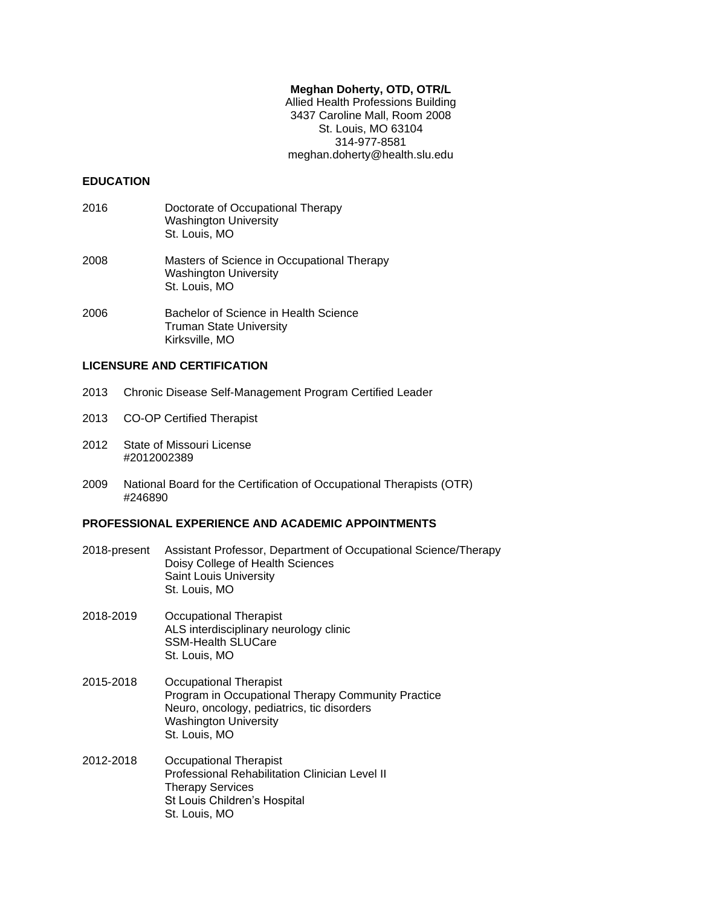## **Meghan Doherty, OTD, OTR/L**

Allied Health Professions Building 3437 Caroline Mall, Room 2008 St. Louis, MO 63104 314-977-8581 meghan.doherty@health.slu.edu

### **EDUCATION**

- 2016 Doctorate of Occupational Therapy Washington University St. Louis, MO
- 2008 Masters of Science in Occupational Therapy Washington University St. Louis, MO
- 2006 Bachelor of Science in Health Science Truman State University Kirksville, MO

## **LICENSURE AND CERTIFICATION**

- 2013 Chronic Disease Self-Management Program Certified Leader
- 2013 CO-OP Certified Therapist
- 2012 State of Missouri License #2012002389
- 2009 National Board for the Certification of Occupational Therapists (OTR) #246890

## **PROFESSIONAL EXPERIENCE AND ACADEMIC APPOINTMENTS**

- 2018-present Assistant Professor, Department of Occupational Science/Therapy Doisy College of Health Sciences Saint Louis University St. Louis, MO
- 2018-2019 Occupational Therapist ALS interdisciplinary neurology clinic SSM-Health SLUCare St. Louis, MO
- 2015-2018 Occupational Therapist Program in Occupational Therapy Community Practice Neuro, oncology, pediatrics, tic disorders Washington University St. Louis, MO
- 2012-2018 Occupational Therapist Professional Rehabilitation Clinician Level II Therapy Services St Louis Children's Hospital St. Louis, MO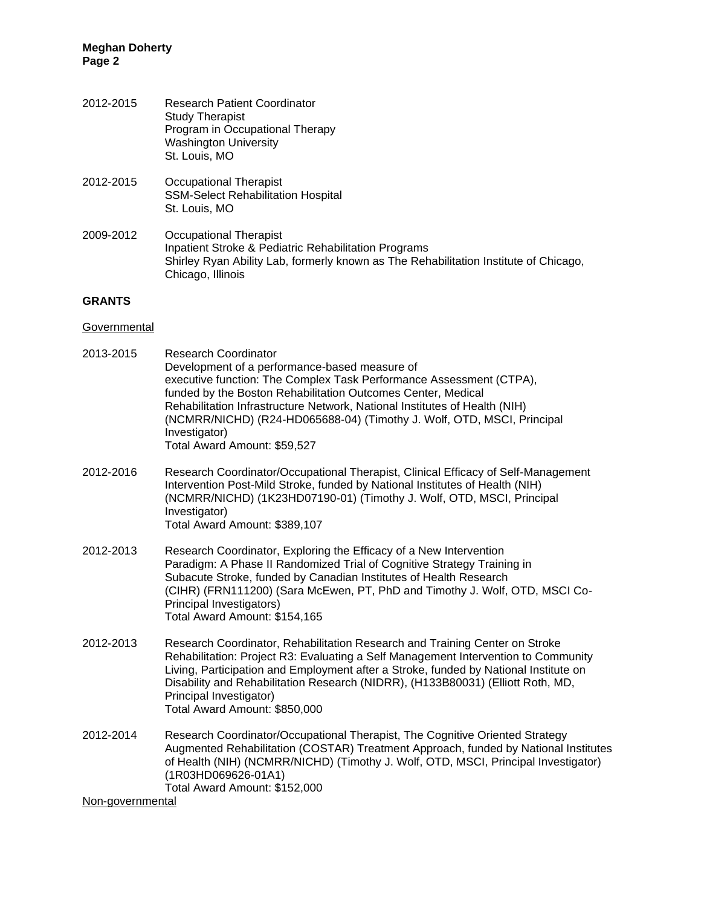| 2012-2015 | <b>Research Patient Coordinator</b><br><b>Study Therapist</b><br>Program in Occupational Therapy<br><b>Washington University</b> |
|-----------|----------------------------------------------------------------------------------------------------------------------------------|
|           | St. Louis, MO                                                                                                                    |
|           |                                                                                                                                  |

- 2012-2015 Occupational Therapist SSM-Select Rehabilitation Hospital St. Louis, MO
- 2009-2012 Occupational Therapist Inpatient Stroke & Pediatric Rehabilitation Programs Shirley Ryan Ability Lab, formerly known as The Rehabilitation Institute of Chicago, Chicago, Illinois

### **GRANTS**

### **Governmental**

| 2013-2015 | <b>Research Coordinator</b>                                                |
|-----------|----------------------------------------------------------------------------|
|           | Development of a performance-based measure of                              |
|           | executive function: The Complex Task Performance Assessment (CTPA),        |
|           | funded by the Boston Rehabilitation Outcomes Center, Medical               |
|           | Rehabilitation Infrastructure Network, National Institutes of Health (NIH) |
|           | (NCMRR/NICHD) (R24-HD065688-04) (Timothy J. Wolf, OTD, MSCI, Principal     |
|           | Investigator)                                                              |
|           | Total Award Amount: \$59,527                                               |
|           |                                                                            |
|           |                                                                            |

- 2012-2016 Research Coordinator/Occupational Therapist, Clinical Efficacy of Self-Management Intervention Post-Mild Stroke, funded by National Institutes of Health (NIH) (NCMRR/NICHD) (1K23HD07190-01) (Timothy J. Wolf, OTD, MSCI, Principal Investigator) Total Award Amount: \$389,107
- 2012-2013 Research Coordinator, Exploring the Efficacy of a New Intervention Paradigm: A Phase II Randomized Trial of Cognitive Strategy Training in Subacute Stroke, funded by Canadian Institutes of Health Research (CIHR) (FRN111200) (Sara McEwen, PT, PhD and Timothy J. Wolf, OTD, MSCI Co-Principal Investigators) Total Award Amount: \$154,165
- 2012-2013 Research Coordinator, Rehabilitation Research and Training Center on Stroke Rehabilitation: Project R3: Evaluating a Self Management Intervention to Community Living, Participation and Employment after a Stroke, funded by National Institute on Disability and Rehabilitation Research (NIDRR), (H133B80031) (Elliott Roth, MD, Principal Investigator) Total Award Amount: \$850,000
- 2012-2014 Research Coordinator/Occupational Therapist, The Cognitive Oriented Strategy Augmented Rehabilitation (COSTAR) Treatment Approach, funded by National Institutes of Health (NIH) (NCMRR/NICHD) (Timothy J. Wolf, OTD, MSCI, Principal Investigator) (1R03HD069626-01A1) Total Award Amount: \$152,000

Non-governmental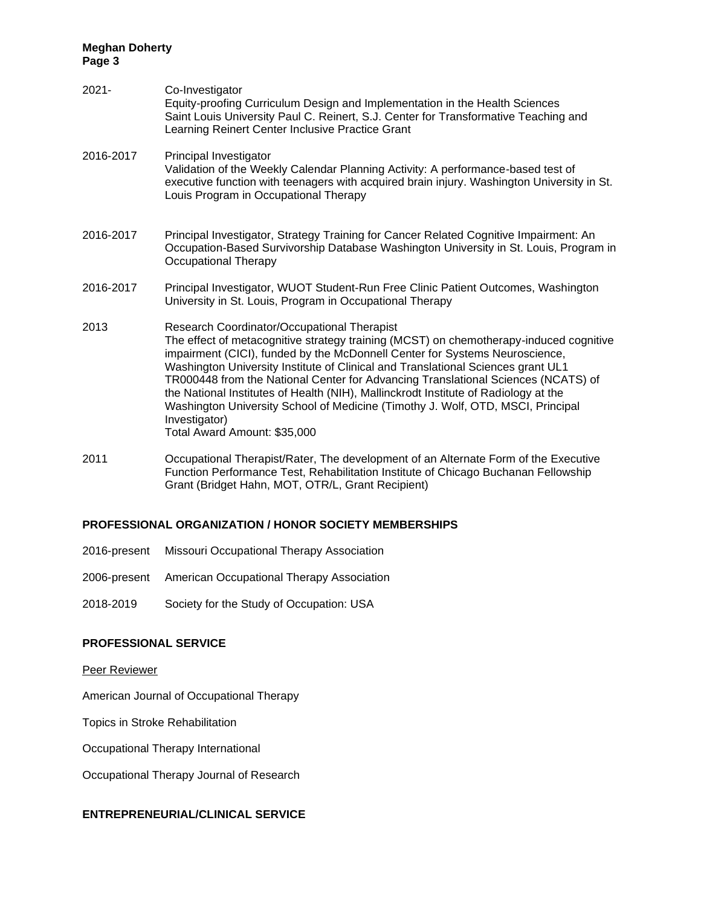| $2021 -$  | Co-Investigator<br>Equity-proofing Curriculum Design and Implementation in the Health Sciences<br>Saint Louis University Paul C. Reinert, S.J. Center for Transformative Teaching and<br>Learning Reinert Center Inclusive Practice Grant                                                                                                                                                                                                                                                                                                                                                                                |
|-----------|--------------------------------------------------------------------------------------------------------------------------------------------------------------------------------------------------------------------------------------------------------------------------------------------------------------------------------------------------------------------------------------------------------------------------------------------------------------------------------------------------------------------------------------------------------------------------------------------------------------------------|
| 2016-2017 | Principal Investigator<br>Validation of the Weekly Calendar Planning Activity: A performance-based test of<br>executive function with teenagers with acquired brain injury. Washington University in St.<br>Louis Program in Occupational Therapy                                                                                                                                                                                                                                                                                                                                                                        |
| 2016-2017 | Principal Investigator, Strategy Training for Cancer Related Cognitive Impairment: An<br>Occupation-Based Survivorship Database Washington University in St. Louis, Program in<br>Occupational Therapy                                                                                                                                                                                                                                                                                                                                                                                                                   |
| 2016-2017 | Principal Investigator, WUOT Student-Run Free Clinic Patient Outcomes, Washington<br>University in St. Louis, Program in Occupational Therapy                                                                                                                                                                                                                                                                                                                                                                                                                                                                            |
| 2013      | Research Coordinator/Occupational Therapist<br>The effect of metacognitive strategy training (MCST) on chemotherapy-induced cognitive<br>impairment (CICI), funded by the McDonnell Center for Systems Neuroscience,<br>Washington University Institute of Clinical and Translational Sciences grant UL1<br>TR000448 from the National Center for Advancing Translational Sciences (NCATS) of<br>the National Institutes of Health (NIH), Mallinckrodt Institute of Radiology at the<br>Washington University School of Medicine (Timothy J. Wolf, OTD, MSCI, Principal<br>Investigator)<br>Total Award Amount: \$35,000 |
|           |                                                                                                                                                                                                                                                                                                                                                                                                                                                                                                                                                                                                                          |

2011 Occupational Therapist/Rater, The development of an Alternate Form of the Executive Function Performance Test, Rehabilitation Institute of Chicago Buchanan Fellowship Grant (Bridget Hahn, MOT, OTR/L, Grant Recipient)

## **PROFESSIONAL ORGANIZATION / HONOR SOCIETY MEMBERSHIPS**

- 2016-present Missouri Occupational Therapy Association
- 2006-present American Occupational Therapy Association
- 2018-2019 Society for the Study of Occupation: USA

## **PROFESSIONAL SERVICE**

Peer Reviewer

American Journal of Occupational Therapy

Topics in Stroke Rehabilitation

Occupational Therapy International

Occupational Therapy Journal of Research

## **ENTREPRENEURIAL/CLINICAL SERVICE**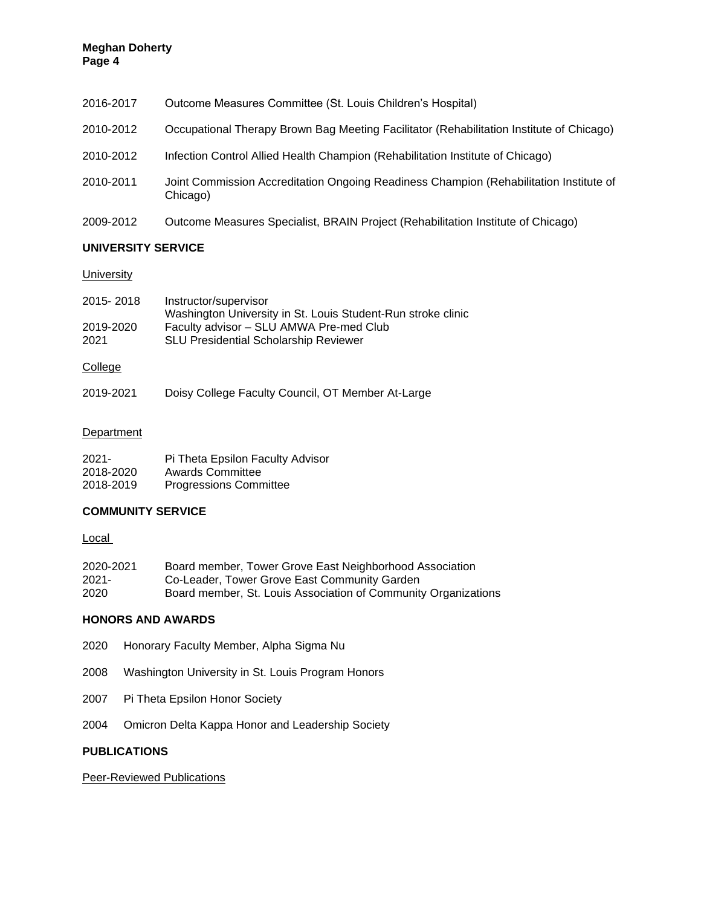| 2016-2017 | Outcome Measures Committee (St. Louis Children's Hospital)                                         |
|-----------|----------------------------------------------------------------------------------------------------|
| 2010-2012 | Occupational Therapy Brown Bag Meeting Facilitator (Rehabilitation Institute of Chicago)           |
| 2010-2012 | Infection Control Allied Health Champion (Rehabilitation Institute of Chicago)                     |
| 2010-2011 | Joint Commission Accreditation Ongoing Readiness Champion (Rehabilitation Institute of<br>Chicago) |
| 2009-2012 | Outcome Measures Specialist, BRAIN Project (Rehabilitation Institute of Chicago)                   |

## **UNIVERSITY SERVICE**

## **University**

| 2015-2018 | Instructor/supervisor<br>Washington University in St. Louis Student-Run stroke clinic |
|-----------|---------------------------------------------------------------------------------------|
| 2019-2020 | Faculty advisor – SLU AMWA Pre-med Club                                               |
| 2021      | <b>SLU Presidential Scholarship Reviewer</b>                                          |

# College

| 2019-2021 | Doisy College Faculty Council, OT Member At-Large |
|-----------|---------------------------------------------------|
|-----------|---------------------------------------------------|

# **Department**

| $2021 -$  | Pi Theta Epsilon Faculty Advisor |
|-----------|----------------------------------|
| 2018-2020 | Awards Committee                 |
| 2018-2019 | <b>Progressions Committee</b>    |

# **COMMUNITY SERVICE**

**Local** 

| 2020-2021 | Board member, Tower Grove East Neighborhood Association        |
|-----------|----------------------------------------------------------------|
| $2021 -$  | Co-Leader, Tower Grove East Community Garden                   |
| 2020      | Board member, St. Louis Association of Community Organizations |

# **HONORS AND AWARDS**

- 2020 Honorary Faculty Member, Alpha Sigma Nu
- 2008 Washington University in St. Louis Program Honors
- 2007 Pi Theta Epsilon Honor Society
- 2004 Omicron Delta Kappa Honor and Leadership Society

# **PUBLICATIONS**

Peer-Reviewed Publications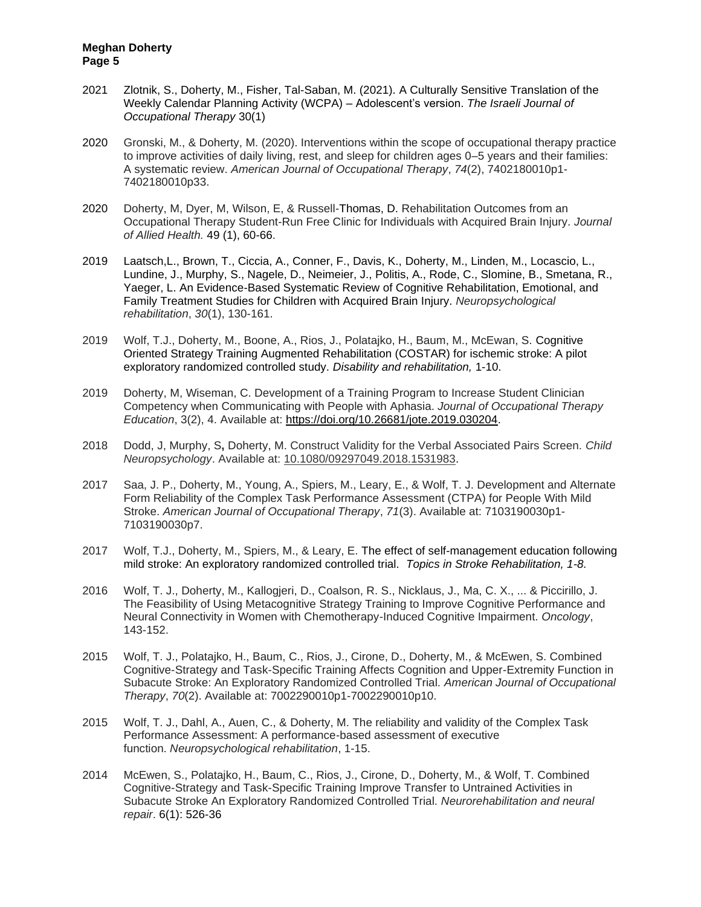- 2021 Zlotnik, S., Doherty, M., Fisher, Tal-Saban, M. (2021). A Culturally Sensitive Translation of the Weekly Calendar Planning Activity (WCPA) – Adolescent's version. *The Israeli Journal of Occupational Therapy* 30(1)
- 2020 Gronski, M., & Doherty, M. (2020). Interventions within the scope of occupational therapy practice to improve activities of daily living, rest, and sleep for children ages 0–5 years and their families: A systematic review. *American Journal of Occupational Therapy*, *74*(2), 7402180010p1- 7402180010p33.
- 2020 Doherty, M, Dyer, M, Wilson, E, & Russell-Thomas, D. Rehabilitation Outcomes from an Occupational Therapy Student-Run Free Clinic for Individuals with Acquired Brain Injury. *Journal of Allied Health.* 49 (1), 60-66.
- 2019 Laatsch,L., Brown, T., Ciccia, A., Conner, F., Davis, K., Doherty, M., Linden, M., Locascio, L., Lundine, J., Murphy, S., Nagele, D., Neimeier, J., Politis, A., Rode, C., Slomine, B., Smetana, R., Yaeger, L. An Evidence-Based Systematic Review of Cognitive Rehabilitation, Emotional, and Family Treatment Studies for Children with Acquired Brain Injury. *Neuropsychological rehabilitation*, *30*(1), 130-161.
- 2019 Wolf, T.J., Doherty, M., Boone, A., Rios, J., Polatajko, H., Baum, M., McEwan, S. Cognitive Oriented Strategy Training Augmented Rehabilitation (COSTAR) for ischemic stroke: A pilot exploratory randomized controlled study. *Disability and rehabilitation,* 1-10.
- 2019 Doherty, M, Wiseman, C. Development of a Training Program to Increase Student Clinician Competency when Communicating with People with Aphasia. *Journal of Occupational Therapy Education*, 3(2), 4. Available at: [https://doi.org/10.26681/jote.2019.030204.](https://doi.org/10.26681/jote.2019.030204)
- 2018 Dodd, J, Murphy, S**,** Doherty, M. Construct Validity for the Verbal Associated Pairs Screen. *Child Neuropsychology*. Available at: [10.1080/09297049.2018.1531983.](https://doi.org/10.1080/09297049.2018.1531983)
- 2017 Saa, J. P., Doherty, M., Young, A., Spiers, M., Leary, E., & Wolf, T. J. Development and Alternate Form Reliability of the Complex Task Performance Assessment (CTPA) for People With Mild Stroke. *American Journal of Occupational Therapy*, *71*(3). Available at: 7103190030p1- 7103190030p7.
- 2017 Wolf, T.J., Doherty, M., Spiers, M., & Leary, E. The effect of self-management education following mild stroke: An exploratory randomized controlled trial. *Topics in Stroke Rehabilitation, 1-8.*
- 2016 Wolf, T. J., Doherty, M., Kallogjeri, D., Coalson, R. S., Nicklaus, J., Ma, C. X., ... & Piccirillo, J. The Feasibility of Using Metacognitive Strategy Training to Improve Cognitive Performance and Neural Connectivity in Women with Chemotherapy-Induced Cognitive Impairment. *Oncology*, 143-152.
- 2015 Wolf, T. J., Polatajko, H., Baum, C., Rios, J., Cirone, D., Doherty, M., & McEwen, S. Combined Cognitive-Strategy and Task-Specific Training Affects Cognition and Upper-Extremity Function in Subacute Stroke: An Exploratory Randomized Controlled Trial. *American Journal of Occupational Therapy*, *70*(2). Available at: 7002290010p1-7002290010p10.
- 2015 Wolf, T. J., Dahl, A., Auen, C., & Doherty, M. The reliability and validity of the Complex Task Performance Assessment: A performance-based assessment of executive function. *Neuropsychological rehabilitation*, 1-15.
- 2014 McEwen, S., Polatajko, H., Baum, C., Rios, J., Cirone, D., Doherty, M., & Wolf, T. Combined Cognitive-Strategy and Task-Specific Training Improve Transfer to Untrained Activities in Subacute Stroke An Exploratory Randomized Controlled Trial. *Neurorehabilitation and neural repair*. 6(1): 526-36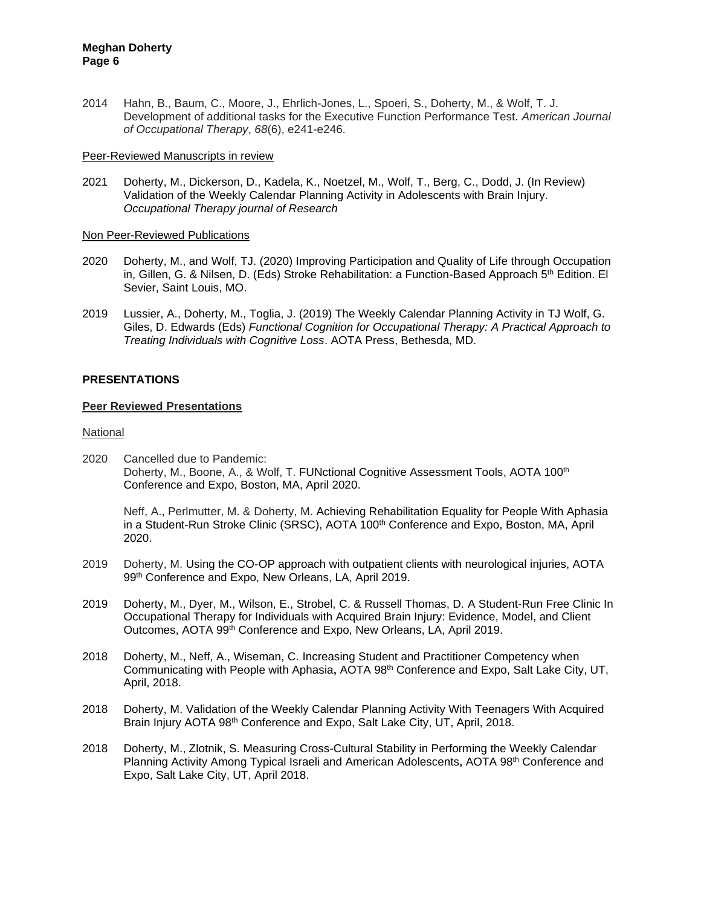2014 Hahn, B., Baum, C., Moore, J., Ehrlich-Jones, L., Spoeri, S., Doherty, M., & Wolf, T. J. Development of additional tasks for the Executive Function Performance Test. *American Journal of Occupational Therapy*, *68*(6), e241-e246.

### Peer-Reviewed Manuscripts in review

2021 Doherty, M., Dickerson, D., Kadela, K., Noetzel, M., Wolf, T., Berg, C., Dodd, J. (In Review) Validation of the Weekly Calendar Planning Activity in Adolescents with Brain Injury. *Occupational Therapy journal of Research*

### Non Peer-Reviewed Publications

- 2020 Doherty, M., and Wolf, TJ. (2020) Improving Participation and Quality of Life through Occupation in, Gillen, G. & Nilsen, D. (Eds) Stroke Rehabilitation: a Function-Based Approach  $5<sup>th</sup>$  Edition. El Sevier, Saint Louis, MO.
- 2019 Lussier, A., Doherty, M., Toglia, J. (2019) The Weekly Calendar Planning Activity in TJ Wolf, G. Giles, D. Edwards (Eds) *Functional Cognition for Occupational Therapy: A Practical Approach to Treating Individuals with Cognitive Loss*. AOTA Press, Bethesda, MD.

## **PRESENTATIONS**

### **Peer Reviewed Presentations**

National

2020 Cancelled due to Pandemic: Doherty, M., Boone, A., & Wolf, T. FUNctional Cognitive Assessment Tools, AOTA 100<sup>th</sup> Conference and Expo, Boston, MA, April 2020.

Neff, A., Perlmutter, M. & Doherty, M. Achieving Rehabilitation Equality for People With Aphasia in a Student-Run Stroke Clinic (SRSC), AOTA 100<sup>th</sup> Conference and Expo, Boston, MA, April 2020.

- 2019 Doherty, M. Using the CO-OP approach with outpatient clients with neurological injuries, AOTA 99th Conference and Expo, New Orleans, LA, April 2019.
- 2019 Doherty, M., Dyer, M., Wilson, E., Strobel, C. & Russell Thomas, D. A Student-Run Free Clinic In Occupational Therapy for Individuals with Acquired Brain Injury: Evidence, Model, and Client Outcomes, AOTA 99<sup>th</sup> Conference and Expo, New Orleans, LA, April 2019.
- 2018 Doherty, M., Neff, A., Wiseman, C. Increasing Student and Practitioner Competency when Communicating with People with Aphasia**,** AOTA 98th Conference and Expo, Salt Lake City, UT, April, 2018.
- 2018 Doherty, M. Validation of the Weekly Calendar Planning Activity With Teenagers With Acquired Brain Injury AOTA 98<sup>th</sup> Conference and Expo, Salt Lake City, UT, April, 2018.
- 2018 Doherty, M., Zlotnik, S. Measuring Cross-Cultural Stability in Performing the Weekly Calendar Planning Activity Among Typical Israeli and American Adolescents**,** AOTA 98th Conference and Expo, Salt Lake City, UT, April 2018.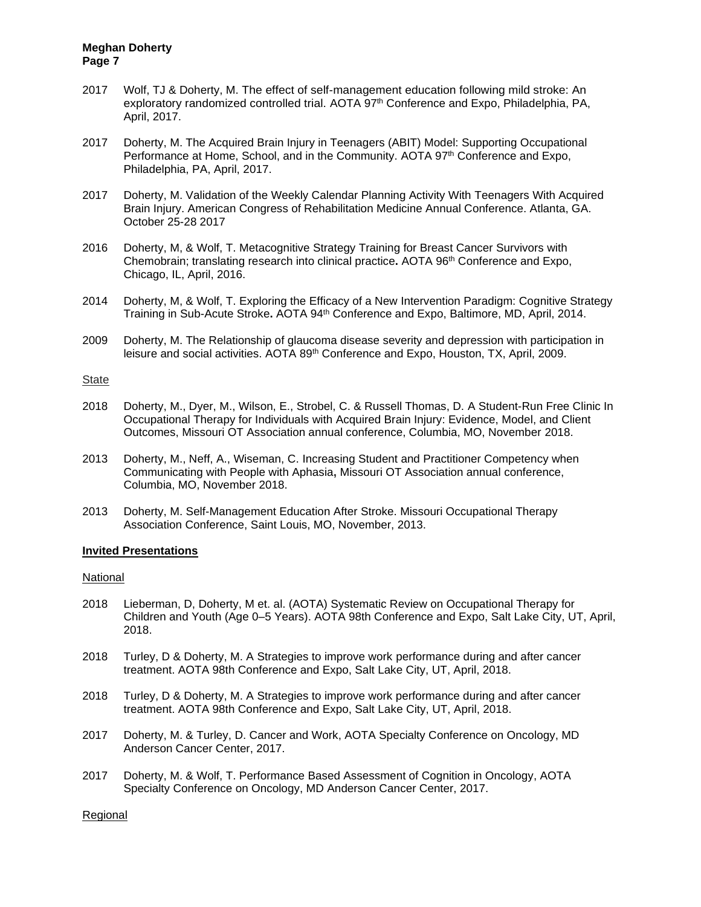- 2017 Wolf, TJ & Doherty, M. The effect of self-management education following mild stroke: An exploratory randomized controlled trial. AOTA 97<sup>th</sup> Conference and Expo, Philadelphia, PA, April, 2017.
- 2017 Doherty, M. The Acquired Brain Injury in Teenagers (ABIT) Model: Supporting Occupational Performance at Home, School, and in the Community. AOTA 97<sup>th</sup> Conference and Expo, Philadelphia, PA, April, 2017.
- 2017 Doherty, M. Validation of the Weekly Calendar Planning Activity With Teenagers With Acquired Brain Injury. American Congress of Rehabilitation Medicine Annual Conference. Atlanta, GA. October 25-28 2017
- 2016 Doherty, M, & Wolf, T. Metacognitive Strategy Training for Breast Cancer Survivors with Chemobrain; translating research into clinical practice**.** AOTA 96th Conference and Expo, Chicago, IL, April, 2016.
- 2014 Doherty, M, & Wolf, T. Exploring the Efficacy of a New Intervention Paradigm: Cognitive Strategy Training in Sub-Acute Stroke**.** AOTA 94th Conference and Expo, Baltimore, MD, April, 2014.
- 2009 Doherty, M. The Relationship of glaucoma disease severity and depression with participation in leisure and social activities. AOTA 89<sup>th</sup> Conference and Expo, Houston, TX, April, 2009.

#### State

- 2018 Doherty, M., Dyer, M., Wilson, E., Strobel, C. & Russell Thomas, D. A Student-Run Free Clinic In Occupational Therapy for Individuals with Acquired Brain Injury: Evidence, Model, and Client Outcomes, Missouri OT Association annual conference, Columbia, MO, November 2018.
- 2013 Doherty, M., Neff, A., Wiseman, C. Increasing Student and Practitioner Competency when Communicating with People with Aphasia**,** Missouri OT Association annual conference, Columbia, MO, November 2018.
- 2013 Doherty, M. Self-Management Education After Stroke. Missouri Occupational Therapy Association Conference, Saint Louis, MO, November, 2013.

### **Invited Presentations**

#### National

- 2018 Lieberman, D, Doherty, M et. al. (AOTA) Systematic Review on Occupational Therapy for Children and Youth (Age 0–5 Years). AOTA 98th Conference and Expo, Salt Lake City, UT, April, 2018.
- 2018 Turley, D & Doherty, M. A Strategies to improve work performance during and after cancer treatment. AOTA 98th Conference and Expo, Salt Lake City, UT, April, 2018.
- 2018 Turley, D & Doherty, M. A Strategies to improve work performance during and after cancer treatment. AOTA 98th Conference and Expo, Salt Lake City, UT, April, 2018.
- 2017 Doherty, M. & Turley, D. Cancer and Work, AOTA Specialty Conference on Oncology, MD Anderson Cancer Center, 2017.
- 2017 Doherty, M. & Wolf, T. Performance Based Assessment of Cognition in Oncology, AOTA Specialty Conference on Oncology, MD Anderson Cancer Center, 2017.

Regional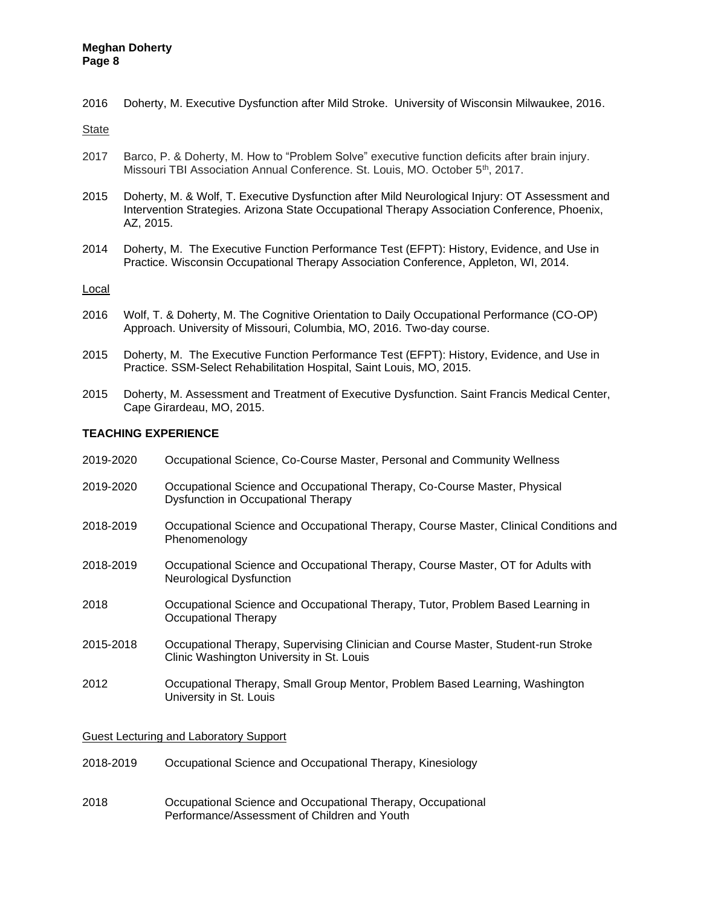2016 Doherty, M. Executive Dysfunction after Mild Stroke. University of Wisconsin Milwaukee, 2016.

State

- 2017 Barco, P. & Doherty, M. How to "Problem Solve" executive function deficits after brain injury. Missouri TBI Association Annual Conference. St. Louis, MO. October 5<sup>th</sup>, 2017.
- 2015 Doherty, M. & Wolf, T. Executive Dysfunction after Mild Neurological Injury: OT Assessment and Intervention Strategies. Arizona State Occupational Therapy Association Conference, Phoenix, AZ, 2015.
- 2014 Doherty, M. The Executive Function Performance Test (EFPT): History, Evidence, and Use in Practice. Wisconsin Occupational Therapy Association Conference, Appleton, WI, 2014.

### Local

- 2016 Wolf, T. & Doherty, M. The Cognitive Orientation to Daily Occupational Performance (CO-OP) Approach. University of Missouri, Columbia, MO, 2016. Two-day course.
- 2015 Doherty, M. The Executive Function Performance Test (EFPT): History, Evidence, and Use in Practice. SSM-Select Rehabilitation Hospital, Saint Louis, MO, 2015.
- 2015 Doherty, M. Assessment and Treatment of Executive Dysfunction. Saint Francis Medical Center, Cape Girardeau, MO, 2015.

### **TEACHING EXPERIENCE**

- 2019-2020 Occupational Science, Co-Course Master, Personal and Community Wellness
- 2019-2020 Occupational Science and Occupational Therapy, Co-Course Master, Physical Dysfunction in Occupational Therapy
- 2018-2019 Occupational Science and Occupational Therapy, Course Master, Clinical Conditions and Phenomenology
- 2018-2019 Occupational Science and Occupational Therapy, Course Master, OT for Adults with Neurological Dysfunction
- 2018 Occupational Science and Occupational Therapy, Tutor, Problem Based Learning in Occupational Therapy
- 2015-2018 Occupational Therapy, Supervising Clinician and Course Master, Student-run Stroke Clinic Washington University in St. Louis
- 2012 Occupational Therapy, Small Group Mentor, Problem Based Learning, Washington University in St. Louis

Guest Lecturing and Laboratory Support

- 2018-2019 Occupational Science and Occupational Therapy, Kinesiology
- 2018 Occupational Science and Occupational Therapy, Occupational Performance/Assessment of Children and Youth